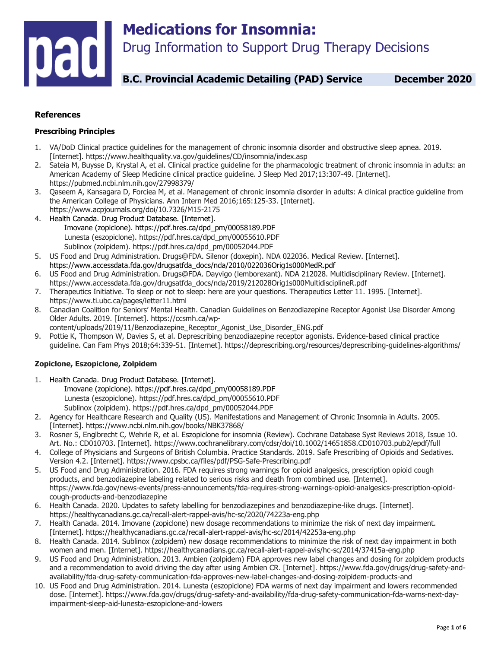

## **References**

#### **Prescribing Principles**

- 1. VA/DoD Clinical practice guidelines for the management of chronic insomnia disorder and obstructive sleep apnea. 2019. [Internet]. https://www.healthquality.va.gov/guidelines/CD/insomnia/index.asp
- 2. Sateia M, Buysse D, Krystal A, et al. Clinical practice guideline for the pharmacologic treatment of chronic insomnia in adults: an American Academy of Sleep Medicine clinical practice guideline. J Sleep Med 2017;13:307-49. [Internet]. https://pubmed.ncbi.nlm.nih.gov/27998379/
- 3. Qaseem A, Kansagara D, Forciea M, et al. Management of chronic insomnia disorder in adults: A clinical practice guideline from the American College of Physicians. Ann Intern Med 2016;165:125-33. [Internet]. https://www.acpjournals.org/doi/10.7326/M15-2175
- 4. Health Canada. Drug Product Database. [Internet]. Imovane (zopiclone). https://pdf.hres.ca/dpd\_pm/00058189.PDF Lunesta (eszopiclone). https://pdf.hres.ca/dpd\_pm/00055610.PDF Sublinox (zolpidem). https://pdf.hres.ca/dpd\_pm/00052044.PDF
- 5. US Food and Drug Administration. Drugs@FDA. Silenor (doxepin). NDA 022036. Medical Review. [Internet]. https://www.accessdata.fda.gov/drugsatfda\_docs/nda/2010/022036Orig1s000MedR.pdf
- 6. US Food and Drug Administration. Drugs@FDA. Dayvigo (lemborexant). NDA 212028. Multidisciplinary Review. [Internet]. https://www.accessdata.fda.gov/drugsatfda\_docs/nda/2019/212028Orig1s000MultidisciplineR.pdf
- 7. Therapeutics Initiative. To sleep or not to sleep: here are your questions. Therapeutics Letter 11. 1995. [Internet]. https://www.ti.ubc.ca/pages/letter11.html
- 8. Canadian Coalition for Seniors' Mental Health. Canadian Guidelines on Benzodiazepine Receptor Agonist Use Disorder Among Older Adults. 2019. [Internet]. https://ccsmh.ca/wpcontent/uploads/2019/11/Benzodiazepine\_Receptor\_Agonist\_Use\_Disorder\_ENG.pdf
- 9. Pottie K, Thompson W, Davies S, et al. Deprescribing benzodiazepine receptor agonists. Evidence-based clinical practice guideline. Can Fam Phys 2018;64:339-51. [Internet]. https://deprescribing.org/resources/deprescribing-guidelines-algorithms/

#### **Zopiclone, Eszopiclone, Zolpidem**

- 1. Health Canada. Drug Product Database. [Internet]. Imovane (zopiclone). https://pdf.hres.ca/dpd\_pm/00058189.PDF Lunesta (eszopiclone). https://pdf.hres.ca/dpd\_pm/00055610.PDF Sublinox (zolpidem). https://pdf.hres.ca/dpd\_pm/00052044.PDF
- 2. Agency for Healthcare Research and Quality (US). Manifestations and Management of Chronic Insomnia in Adults. 2005. [Internet]. https://www.ncbi.nlm.nih.gov/books/NBK37868/
- 3. Rosner S, Englbrecht C, Wehrle R, et al. Eszopiclone for insomnia (Review). Cochrane Database Syst Reviews 2018, Issue 10. Art. No.: CD010703. [Internet]. https://www.cochranelibrary.com/cdsr/doi/10.1002/14651858.CD010703.pub2/epdf/full
- 4. College of Physicians and Surgeons of British Columbia. Practice Standards. 2019. Safe Prescribing of Opioids and Sedatives. Version 4.2. [Internet]. https://www.cpsbc.ca/files/pdf/PSG-Safe-Prescribing.pdf
- 5. US Food and Drug Administration. 2016. FDA requires strong warnings for opioid analgesics, prescription opioid cough products, and benzodiazepine labeling related to serious risks and death from combined use. [Internet]. https://www.fda.gov/news-events/press-announcements/fda-requires-strong-warnings-opioid-analgesics-prescription-opioidcough-products-and-benzodiazepine
- 6. Health Canada. 2020. Updates to safety labelling for benzodiazepines and benzodiazepine-like drugs. [Internet]. https://healthycanadians.gc.ca/recall-alert-rappel-avis/hc-sc/2020/74223a-eng.php
- 7. Health Canada. 2014. Imovane (zopiclone) new dosage recommendations to minimize the risk of next day impairment. [Internet]. https://healthycanadians.gc.ca/recall-alert-rappel-avis/hc-sc/2014/42253a-eng.php
- 8. Health Canada. 2014. Sublinox (zolpidem) new dosage recommendations to minimize the risk of next day impairment in both women and men. [Internet]. https://healthycanadians.gc.ca/recall-alert-rappel-avis/hc-sc/2014/37415a-eng.php
- 9. US Food and Drug Administration. 2013. Ambien (zolpidem) FDA approves new label changes and dosing for zolpidem products and a recommendation to avoid driving the day after using Ambien CR. [Internet]. https://www.fda.gov/drugs/drug-safety-andavailability/fda-drug-safety-communication-fda-approves-new-label-changes-and-dosing-zolpidem-products-and
- 10. US Food and Drug Administration. 2014. Lunesta (eszopiclone) FDA warms of next day impairment and lowers recommended dose. [Internet]. https://www.fda.gov/drugs/drug-safety-and-availability/fda-drug-safety-communication-fda-warns-next-dayimpairment-sleep-aid-lunesta-eszopiclone-and-lowers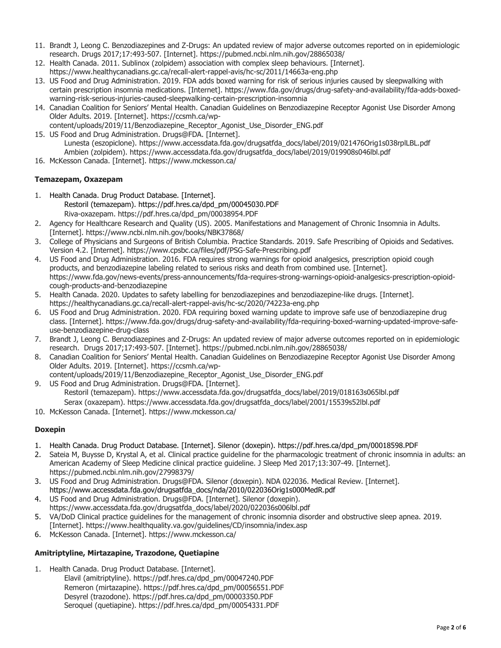- 11. Brandt J, Leong C. Benzodiazepines and Z-Drugs: An updated review of major adverse outcomes reported on in epidemiologic research. Drugs 2017;17:493-507. [Internet]. https://pubmed.ncbi.nlm.nih.gov/28865038/
- 12. Health Canada. 2011. Sublinox (zolpidem) association with complex sleep behaviours. [Internet]. https://www.healthycanadians.gc.ca/recall-alert-rappel-avis/hc-sc/2011/14663a-eng.php
- 13. US Food and Drug Administration. 2019. FDA adds boxed warning for risk of serious injuries caused by sleepwalking with certain prescription insomnia medications. [Internet]. https://www.fda.gov/drugs/drug-safety-and-availability/fda-adds-boxedwarning-risk-serious-injuries-caused-sleepwalking-certain-prescription-insomnia
- 14. Canadian Coalition for Seniors' Mental Health. Canadian Guidelines on Benzodiazepine Receptor Agonist Use Disorder Among Older Adults. 2019. [Internet]. https://ccsmh.ca/wp-
- content/uploads/2019/11/Benzodiazepine\_Receptor\_Agonist\_Use\_Disorder\_ENG.pdf 15. US Food and Drug Administration. Drugs@FDA. [Internet].
- Lunesta (eszopiclone). https://www.accessdata.fda.gov/drugsatfda\_docs/label/2019/021476Orig1s038rplLBL.pdf Ambien (zolpidem). https://www.accessdata.fda.gov/drugsatfda\_docs/label/2019/019908s046lbl.pdf
- 16. McKesson Canada. [Internet]. https://www.mckesson.ca/

# **Temazepam, Oxazepam**

- 1. Health Canada. Drug Product Database. [Internet]. Restoril (temazepam). https://pdf.hres.ca/dpd\_pm/00045030.PDF Riva-oxazepam. https://pdf.hres.ca/dpd\_pm/00038954.PDF
- 2. Agency for Healthcare Research and Quality (US). 2005. Manifestations and Management of Chronic Insomnia in Adults. [Internet]. https://www.ncbi.nlm.nih.gov/books/NBK37868/
- 3. College of Physicians and Surgeons of British Columbia. Practice Standards. 2019. Safe Prescribing of Opioids and Sedatives. Version 4.2. [Internet]. https://www.cpsbc.ca/files/pdf/PSG-Safe-Prescribing.pdf
- 4. US Food and Drug Administration. 2016. FDA requires strong warnings for opioid analgesics, prescription opioid cough products, and benzodiazepine labeling related to serious risks and death from combined use. [Internet]. https://www.fda.gov/news-events/press-announcements/fda-requires-strong-warnings-opioid-analgesics-prescription-opioidcough-products-and-benzodiazepine
- 5. Health Canada. 2020. Updates to safety labelling for benzodiazepines and benzodiazepine-like drugs. [Internet]. https://healthycanadians.gc.ca/recall-alert-rappel-avis/hc-sc/2020/74223a-eng.php
- 6. US Food and Drug Administration. 2020. FDA requiring boxed warning update to improve safe use of benzodiazepine drug class. [Internet]. https://www.fda.gov/drugs/drug-safety-and-availability/fda-requiring-boxed-warning-updated-improve-safeuse-benzodiazepine-drug-class
- 7. Brandt J, Leong C. Benzodiazepines and Z-Drugs: An updated review of major adverse outcomes reported on in epidemiologic research. Drugs 2017;17:493-507. [Internet]. https://pubmed.ncbi.nlm.nih.gov/28865038/
- 8. Canadian Coalition for Seniors' Mental Health. Canadian Guidelines on Benzodiazepine Receptor Agonist Use Disorder Among Older Adults. 2019. [Internet]. https://ccsmh.ca/wp-
- content/uploads/2019/11/Benzodiazepine\_Receptor\_Agonist\_Use\_Disorder\_ENG.pdf 9. US Food and Drug Administration. Drugs@FDA. [Internet]. Restoril (temazepam). https://www.accessdata.fda.gov/drugsatfda\_docs/label/2019/018163s065lbl.pdf
	- Serax (oxazepam). https://www.accessdata.fda.gov/drugsatfda\_docs/label/2001/15539s52lbl.pdf
- 10. McKesson Canada. [Internet]. https://www.mckesson.ca/

# **Doxepin**

- 1. Health Canada. Drug Product Database. [Internet]. Silenor (doxepin). https://pdf.hres.ca/dpd\_pm/00018598.PDF
- 2. Sateia M, Buysse D, Krystal A, et al. Clinical practice guideline for the pharmacologic treatment of chronic insomnia in adults: an American Academy of Sleep Medicine clinical practice guideline. J Sleep Med 2017;13:307-49. [Internet]. https://pubmed.ncbi.nlm.nih.gov/27998379/
- 3. US Food and Drug Administration. Drugs@FDA. Silenor (doxepin). NDA 022036. Medical Review. [Internet]. https://www.accessdata.fda.gov/drugsatfda\_docs/nda/2010/022036Orig1s000MedR.pdf
- 4. US Food and Drug Administration. Drugs@FDA. [Internet]. Silenor (doxepin). https://www.accessdata.fda.gov/drugsatfda\_docs/label/2020/022036s006lbl.pdf
- 5. VA/DoD Clinical practice guidelines for the management of chronic insomnia disorder and obstructive sleep apnea. 2019. [Internet]. https://www.healthquality.va.gov/guidelines/CD/insomnia/index.asp
- 6. McKesson Canada. [Internet]. https://www.mckesson.ca/

## **Amitriptyline, Mirtazapine, Trazodone, Quetiapine**

- 1. Health Canada. Drug Product Database. [Internet].
	- Elavil (amitriptyline). https://pdf.hres.ca/dpd\_pm/00047240.PDF Remeron (mirtazapine). https://pdf.hres.ca/dpd\_pm/00056551.PDF Desyrel (trazodone). https://pdf.hres.ca/dpd\_pm/00003350.PDF Seroquel (quetiapine). https://pdf.hres.ca/dpd\_pm/00054331.PDF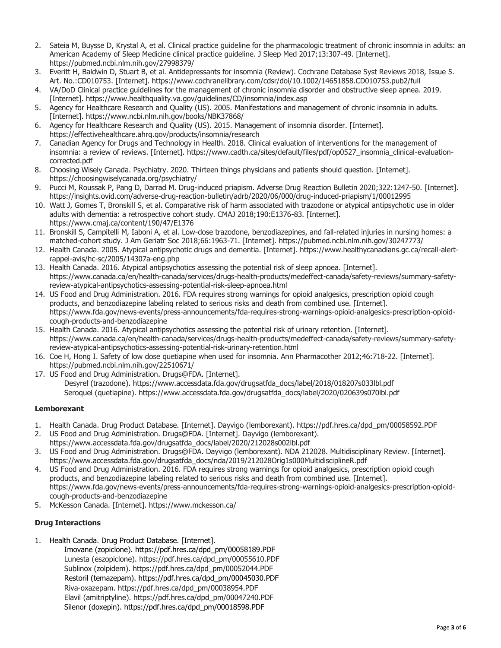- 2. Sateia M, Buysse D, Krystal A, et al. Clinical practice guideline for the pharmacologic treatment of chronic insomnia in adults: an American Academy of Sleep Medicine clinical practice guideline. J Sleep Med 2017;13:307-49. [Internet]. https://pubmed.ncbi.nlm.nih.gov/27998379/
- 3. Everitt H, Baldwin D, Stuart B, et al. Antidepressants for insomnia (Review). Cochrane Database Syst Reviews 2018, Issue 5. Art. No.:CD010753. [Internet]. https://www.cochranelibrary.com/cdsr/doi/10.1002/14651858.CD010753.pub2/full
- 4. VA/DoD Clinical practice guidelines for the management of chronic insomnia disorder and obstructive sleep apnea. 2019. [Internet]. https://www.healthquality.va.gov/guidelines/CD/insomnia/index.asp
- 5. Agency for Healthcare Research and Quality (US). 2005. Manifestations and management of chronic insomnia in adults. [Internet]. https://www.ncbi.nlm.nih.gov/books/NBK37868/
- 6. Agency for Healthcare Research and Quality (US). 2015. Management of insomnia disorder. [Internet]. https://effectivehealthcare.ahrq.gov/products/insomnia/research
- 7. Canadian Agency for Drugs and Technology in Health. 2018. Clinical evaluation of interventions for the management of insomnia: a review of reviews. [Internet]. https://www.cadth.ca/sites/default/files/pdf/op0527\_insomnia\_clinical-evaluationcorrected.pdf
- 8. Choosing Wisely Canada. Psychiatry. 2020. Thirteen things physicians and patients should question. [Internet]. https://choosingwiselycanada.org/psychiatry/
- 9. Pucci M, Roussak P, Pang D, Darrad M. Drug-induced priapism. Adverse Drug Reaction Bulletin 2020;322:1247-50. [Internet]. https://insights.ovid.com/adverse-drug-reaction-bulletin/adrb/2020/06/000/drug-induced-priapism/1/00012995
- 10. Watt J, Gomes T, Bronskill S, et al. Comparative risk of harm associated with trazodone or atypical antipsychotic use in older adults with dementia: a retrospective cohort study. CMAJ 2018;190:E1376-83. [Internet]. https://www.cmaj.ca/content/190/47/E1376
- 11. Bronskill S, Campitelli M, Iaboni A, et al. Low-dose trazodone, benzodiazepines, and fall-related injuries in nursing homes: a matched-cohort study. J Am Geriatr Soc 2018;66:1963-71. [Internet]. https://pubmed.ncbi.nlm.nih.gov/30247773/
- 12. Health Canada. 2005. Atypical antipsychotic drugs and dementia. [Internet]. https://www.healthycanadians.gc.ca/recall-alertrappel-avis/hc-sc/2005/14307a-eng.php
- 13. Health Canada. 2016. Atypical antipsychotics assessing the potential risk of sleep apnoea. [Internet]. https://www.canada.ca/en/health-canada/services/drugs-health-products/medeffect-canada/safety-reviews/summary-safetyreview-atypical-antipsychotics-assessing-potential-risk-sleep-apnoea.html
- 14. US Food and Drug Administration. 2016. FDA requires strong warnings for opioid analgesics, prescription opioid cough products, and benzodiazepine labeling related to serious risks and death from combined use. [Internet]. https://www.fda.gov/news-events/press-announcements/fda-requires-strong-warnings-opioid-analgesics-prescription-opioidcough-products-and-benzodiazepine
- 15. Health Canada. 2016. Atypical antipsychotics assessing the potential risk of urinary retention. [Internet]. https://www.canada.ca/en/health-canada/services/drugs-health-products/medeffect-canada/safety-reviews/summary-safetyreview-atypical-antipsychotics-assessing-potential-risk-urinary-retention.html
- 16. Coe H, Hong I. Safety of low dose quetiapine when used for insomnia. Ann Pharmacother 2012;46:718-22. [Internet]. https://pubmed.ncbi.nlm.nih.gov/22510671/
- 17. US Food and Drug Administration. Drugs@FDA. [Internet]. Desyrel (trazodone). https://www.accessdata.fda.gov/drugsatfda\_docs/label/2018/018207s033lbl.pdf Seroquel (quetiapine). https://www.accessdata.fda.gov/drugsatfda\_docs/label/2020/020639s070lbl.pdf

## **Lemborexant**

- 1. Health Canada. Drug Product Database. [Internet]. Dayvigo (lemborexant). https://pdf.hres.ca/dpd\_pm/00058592.PDF
- 2. US Food and Drug Administration. Drugs@FDA. [Internet]. Dayvigo (lemborexant). https://www.accessdata.fda.gov/drugsatfda\_docs/label/2020/212028s002lbl.pdf
- 3. US Food and Drug Administration. Drugs@FDA. Dayvigo (lemborexant). NDA 212028. Multidisciplinary Review. [Internet]. https://www.accessdata.fda.gov/drugsatfda\_docs/nda/2019/212028Orig1s000MultidisciplineR.pdf
- 4. US Food and Drug Administration. 2016. FDA requires strong warnings for opioid analgesics, prescription opioid cough products, and benzodiazepine labeling related to serious risks and death from combined use. [Internet]. https://www.fda.gov/news-events/press-announcements/fda-requires-strong-warnings-opioid-analgesics-prescription-opioidcough-products-and-benzodiazepine
- 5. McKesson Canada. [Internet]. https://www.mckesson.ca/

## **Drug Interactions**

1. Health Canada. Drug Product Database. [Internet].

Imovane (zopiclone). https://pdf.hres.ca/dpd\_pm/00058189.PDF Lunesta (eszopiclone). https://pdf.hres.ca/dpd\_pm/00055610.PDF Sublinox (zolpidem). https://pdf.hres.ca/dpd\_pm/00052044.PDF Restoril (temazepam). https://pdf.hres.ca/dpd\_pm/00045030.PDF Riva-oxazepam. https://pdf.hres.ca/dpd\_pm/00038954.PDF Elavil (amitriptyline). https://pdf.hres.ca/dpd\_pm/00047240.PDF Silenor (doxepin). https://pdf.hres.ca/dpd\_pm/00018598.PDF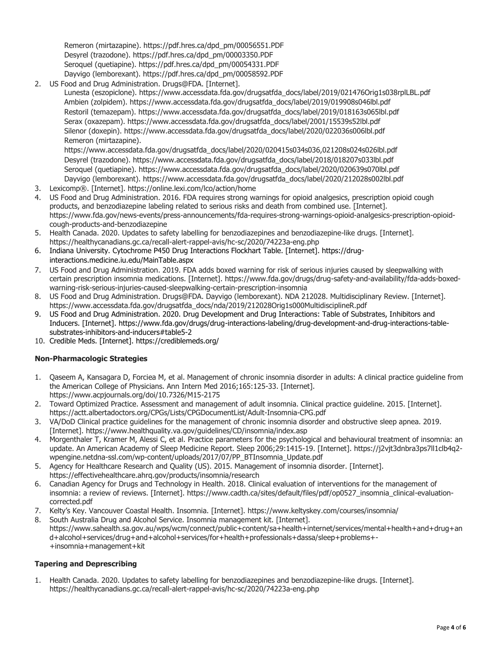Remeron (mirtazapine). https://pdf.hres.ca/dpd\_pm/00056551.PDF Desyrel (trazodone). https://pdf.hres.ca/dpd\_pm/00003350.PDF Seroquel (quetiapine). https://pdf.hres.ca/dpd\_pm/00054331.PDF Dayvigo (lemborexant). https://pdf.hres.ca/dpd\_pm/00058592.PDF

2. US Food and Drug Administration. Drugs@FDA. [Internet].

Lunesta (eszopiclone). https://www.accessdata.fda.gov/drugsatfda\_docs/label/2019/021476Orig1s038rplLBL.pdf Ambien (zolpidem). https://www.accessdata.fda.gov/drugsatfda\_docs/label/2019/019908s046lbl.pdf Restoril (temazepam). https://www.accessdata.fda.gov/drugsatfda\_docs/label/2019/018163s065lbl.pdf Serax (oxazepam). https://www.accessdata.fda.gov/drugsatfda\_docs/label/2001/15539s52lbl.pdf Silenor (doxepin). https://www.accessdata.fda.gov/drugsatfda\_docs/label/2020/022036s006lbl.pdf Remeron (mirtazapine).

https://www.accessdata.fda.gov/drugsatfda\_docs/label/2020/020415s034s036,021208s024s026lbl.pdf Desyrel (trazodone). https://www.accessdata.fda.gov/drugsatfda\_docs/label/2018/018207s033lbl.pdf Seroquel (quetiapine). https://www.accessdata.fda.gov/drugsatfda\_docs/label/2020/020639s070lbl.pdf Dayvigo (lemborexant). https://www.accessdata.fda.gov/drugsatfda\_docs/label/2020/212028s002lbl.pdf

- 3. Lexicomp®. [Internet]. https://online.lexi.com/lco/action/home
- 4. US Food and Drug Administration. 2016. FDA requires strong warnings for opioid analgesics, prescription opioid cough products, and benzodiazepine labeling related to serious risks and death from combined use. [Internet]. https://www.fda.gov/news-events/press-announcements/fda-requires-strong-warnings-opioid-analgesics-prescription-opioidcough-products-and-benzodiazepine
- 5. Health Canada. 2020. Updates to safety labelling for benzodiazepines and benzodiazepine-like drugs. [Internet]. https://healthycanadians.gc.ca/recall-alert-rappel-avis/hc-sc/2020/74223a-eng.php
- 6. Indiana University. Cytochrome P450 Drug Interactions Flockhart Table. [Internet]. https://druginteractions.medicine.iu.edu/MainTable.aspx
- 7. US Food and Drug Administration. 2019. FDA adds boxed warning for risk of serious injuries caused by sleepwalking with certain prescription insomnia medications. [Internet]. https://www.fda.gov/drugs/drug-safety-and-availability/fda-adds-boxedwarning-risk-serious-injuries-caused-sleepwalking-certain-prescription-insomnia
- 8. US Food and Drug Administration. Drugs@FDA. Dayvigo (lemborexant). NDA 212028. Multidisciplinary Review. [Internet]. https://www.accessdata.fda.gov/drugsatfda\_docs/nda/2019/212028Orig1s000MultidisciplineR.pdf
- 9. US Food and Drug Administration. 2020. Drug Development and Drug Interactions: Table of Substrates, Inhibitors and Inducers. [Internet]. https://www.fda.gov/drugs/drug-interactions-labeling/drug-development-and-drug-interactions-tablesubstrates-inhibitors-and-inducers#table5-2
- 10. Credible Meds. [Internet]. https://crediblemeds.org/

## **Non-Pharmacologic Strategies**

- 1. Qaseem A, Kansagara D, Forciea M, et al. Management of chronic insomnia disorder in adults: A clinical practice guideline from the American College of Physicians. Ann Intern Med 2016;165:125-33. [Internet]. https://www.acpjournals.org/doi/10.7326/M15-2175
- 2. Toward Optimized Practice. Assessment and management of adult insomnia. Clinical practice guideline. 2015. [Internet]. https://actt.albertadoctors.org/CPGs/Lists/CPGDocumentList/Adult-Insomnia-CPG.pdf
- 3. VA/DoD Clinical practice guidelines for the management of chronic insomnia disorder and obstructive sleep apnea. 2019. [Internet]. https://www.healthquality.va.gov/guidelines/CD/insomnia/index.asp
- 4. Morgenthaler T, Kramer M, Alessi C, et al. Practice parameters for the psychological and behavioural treatment of insomnia: an update. An American Academy of Sleep Medicine Report. Sleep 2006;29:1415-19. [Internet]. https://j2vjt3dnbra3ps7ll1clb4q2 wpengine.netdna-ssl.com/wp-content/uploads/2017/07/PP\_BTInsomnia\_Update.pdf
- 5. Agency for Healthcare Research and Quality (US). 2015. Management of insomnia disorder. [Internet]. https://effectivehealthcare.ahrq.gov/products/insomnia/research
- 6. Canadian Agency for Drugs and Technology in Health. 2018. Clinical evaluation of interventions for the management of insomnia: a review of reviews. [Internet]. https://www.cadth.ca/sites/default/files/pdf/op0527\_insomnia\_clinical-evaluationcorrected.pdf
- 7. Kelty's Key. Vancouver Coastal Health. Insomnia. [Internet]. https://www.keltyskey.com/courses/insomnia/
- 8. South Australia Drug and Alcohol Service. Insomnia management kit. [Internet]. https://www.sahealth.sa.gov.au/wps/wcm/connect/public+content/sa+health+internet/services/mental+health+and+drug+an d+alcohol+services/drug+and+alcohol+services/for+health+professionals+dassa/sleep+problems+- +insomnia+management+kit

## **Tapering and Deprescribing**

1. Health Canada. 2020. Updates to safety labelling for benzodiazepines and benzodiazepine-like drugs. [Internet]. https://healthycanadians.gc.ca/recall-alert-rappel-avis/hc-sc/2020/74223a-eng.php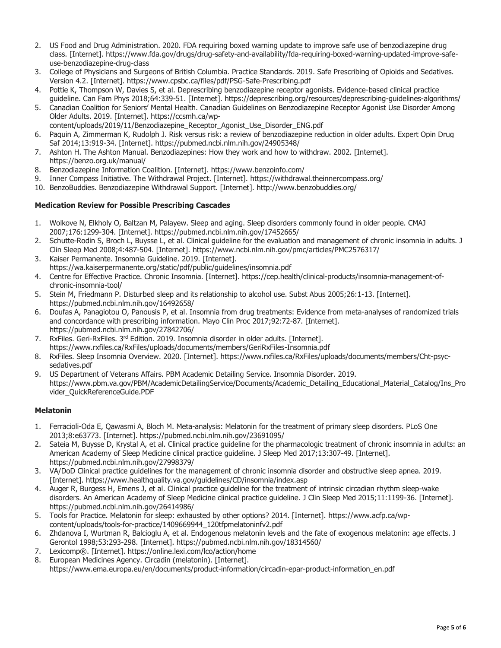- 2. US Food and Drug Administration. 2020. FDA requiring boxed warning update to improve safe use of benzodiazepine drug class. [Internet]. https://www.fda.gov/drugs/drug-safety-and-availability/fda-requiring-boxed-warning-updated-improve-safeuse-benzodiazepine-drug-class
- 3. College of Physicians and Surgeons of British Columbia. Practice Standards. 2019. Safe Prescribing of Opioids and Sedatives. Version 4.2. [Internet]. https://www.cpsbc.ca/files/pdf/PSG-Safe-Prescribing.pdf
- 4. Pottie K, Thompson W, Davies S, et al. Deprescribing benzodiazepine receptor agonists. Evidence-based clinical practice guideline. Can Fam Phys 2018;64:339-51. [Internet]. https://deprescribing.org/resources/deprescribing-guidelines-algorithms/
- 5. Canadian Coalition for Seniors' Mental Health. Canadian Guidelines on Benzodiazepine Receptor Agonist Use Disorder Among Older Adults. 2019. [Internet]. https://ccsmh.ca/wp-
- content/uploads/2019/11/Benzodiazepine\_Receptor\_Agonist\_Use\_Disorder\_ENG.pdf
- 6. Paquin A, Zimmerman K, Rudolph J. Risk versus risk: a review of benzodiazepine reduction in older adults. Expert Opin Drug Saf 2014;13:919-34. [Internet]. https://pubmed.ncbi.nlm.nih.gov/24905348/
- 7. Ashton H. The Ashton Manual. Benzodiazepines: How they work and how to withdraw. 2002. [Internet]. https://benzo.org.uk/manual/
- 8. Benzodiazepine Information Coalition. [Internet]. https://www.benzoinfo.com/
- 9. Inner Compass Initiative. The Withdrawal Project. [Internet]. https://withdrawal.theinnercompass.org/
- 10. BenzoBuddies. Benzodiazepine Withdrawal Support. [Internet]. http://www.benzobuddies.org/

#### **Medication Review for Possible Prescribing Cascades**

- 1. Wolkove N, Elkholy O, Baltzan M, Palayew. Sleep and aging. Sleep disorders commonly found in older people. CMAJ 2007;176:1299-304. [Internet]. https://pubmed.ncbi.nlm.nih.gov/17452665/
- 2. Schutte-Rodin S, Broch L, Buysse L, et al. Clinical guideline for the evaluation and management of chronic insomnia in adults. J Clin Sleep Med 2008;4:487-504. [Internet]. https://www.ncbi.nlm.nih.gov/pmc/articles/PMC2576317/
- 3. Kaiser Permanente. Insomnia Guideline. 2019. [Internet]. https://wa.kaiserpermanente.org/static/pdf/public/guidelines/insomnia.pdf
- 4. Centre for Effective Practice. Chronic Insomnia. [Internet]. https://cep.health/clinical-products/insomnia-management-ofchronic-insomnia-tool/
- 5. Stein M, Friedmann P. Disturbed sleep and its relationship to alcohol use. Subst Abus 2005;26:1-13. [Internet]. https://pubmed.ncbi.nlm.nih.gov/16492658/
- 6. Doufas A, Panagiotou O, Panousis P, et al. Insomnia from drug treatments: Evidence from meta-analyses of randomized trials and concordance with prescribing information. Mayo Clin Proc 2017;92:72-87. [Internet]. https://pubmed.ncbi.nlm.nih.gov/27842706/
- 7. RxFiles. Geri-RxFiles. 3<sup>rd</sup> Edition. 2019. Insomnia disorder in older adults. [Internet]. https://www.rxfiles.ca/RxFiles/uploads/documents/members/GeriRxFiles-Insomnia.pdf
- 8. RxFiles. Sleep Insomnia Overview. 2020. [Internet]. https://www.rxfiles.ca/RxFiles/uploads/documents/members/Cht-psycsedatives.pdf
- 9. US Department of Veterans Affairs. PBM Academic Detailing Service. Insomnia Disorder. 2019. https://www.pbm.va.gov/PBM/AcademicDetailingService/Documents/Academic\_Detailing\_Educational\_Material\_Catalog/Ins\_Pro vider\_QuickReferenceGuide.PDF

#### **Melatonin**

- 1. Ferracioli-Oda E, Qawasmi A, Bloch M. Meta-analysis: Melatonin for the treatment of primary sleep disorders. PLoS One 2013;8:e63773. [Internet]. https://pubmed.ncbi.nlm.nih.gov/23691095/
- 2. Sateia M, Buysse D, Krystal A, et al. Clinical practice guideline for the pharmacologic treatment of chronic insomnia in adults: an American Academy of Sleep Medicine clinical practice guideline. J Sleep Med 2017;13:307-49. [Internet]. https://pubmed.ncbi.nlm.nih.gov/27998379/
- 3. VA/DoD Clinical practice guidelines for the management of chronic insomnia disorder and obstructive sleep apnea. 2019. [Internet]. https://www.healthquality.va.gov/guidelines/CD/insomnia/index.asp
- 4. Auger R, Burgess H, Emens J, et al. Clinical practice guideline for the treatment of intrinsic circadian rhythm sleep-wake disorders. An American Academy of Sleep Medicine clinical practice guideline. J Clin Sleep Med 2015;11:1199-36. [Internet]. https://pubmed.ncbi.nlm.nih.gov/26414986/
- 5. Tools for Practice. Melatonin for sleep: exhausted by other options? 2014. [Internet]. https://www.acfp.ca/wpcontent/uploads/tools-for-practice/1409669944\_120tfpmelatoninfv2.pdf
- 6. Zhdanova I, Wurtman R, Balcioglu A, et al. Endogenous melatonin levels and the fate of exogenous melatonin: age effects. J Gerontol 1998;53:293-298. [Internet]. https://pubmed.ncbi.nlm.nih.gov/18314560/
- 7. Lexicomp®. [Internet]. https://online.lexi.com/lco/action/home
- 8. European Medicines Agency. Circadin (melatonin). [Internet]. https://www.ema.europa.eu/en/documents/product-information/circadin-epar-product-information\_en.pdf